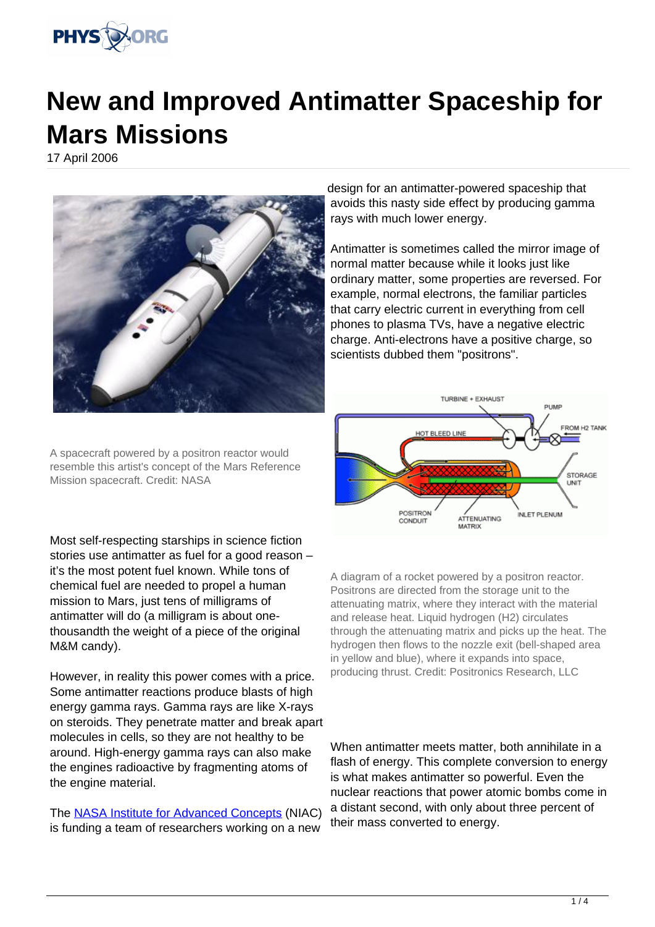

## **New and Improved Antimatter Spaceship for Mars Missions**

17 April 2006



A spacecraft powered by a positron reactor would resemble this artist's concept of the Mars Reference Mission spacecraft. Credit: NASA

Most self-respecting starships in science fiction stories use antimatter as fuel for a good reason – it's the most potent fuel known. While tons of chemical fuel are needed to propel a human mission to Mars, just tens of milligrams of antimatter will do (a milligram is about onethousandth the weight of a piece of the original M&M candy).

However, in reality this power comes with a price. Some antimatter reactions produce blasts of high energy gamma rays. Gamma rays are like X-rays on steroids. They penetrate matter and break apart molecules in cells, so they are not healthy to be around. High-energy gamma rays can also make the engines radioactive by fragmenting atoms of the engine material.

The [NASA Institute for Advanced Concepts](http://www.niac.usra.edu/) (NIAC) is funding a team of researchers working on a new

design for an antimatter-powered spaceship that avoids this nasty side effect by producing gamma rays with much lower energy.

Antimatter is sometimes called the mirror image of normal matter because while it looks just like ordinary matter, some properties are reversed. For example, normal electrons, the familiar particles that carry electric current in everything from cell phones to plasma TVs, have a negative electric charge. Anti-electrons have a positive charge, so scientists dubbed them "positrons".



A diagram of a rocket powered by a positron reactor. Positrons are directed from the storage unit to the attenuating matrix, where they interact with the material and release heat. Liquid hydrogen (H2) circulates through the attenuating matrix and picks up the heat. The hydrogen then flows to the nozzle exit (bell-shaped area in yellow and blue), where it expands into space, producing thrust. Credit: Positronics Research, LLC

When antimatter meets matter, both annihilate in a flash of energy. This complete conversion to energy is what makes antimatter so powerful. Even the nuclear reactions that power atomic bombs come in a distant second, with only about three percent of their mass converted to energy.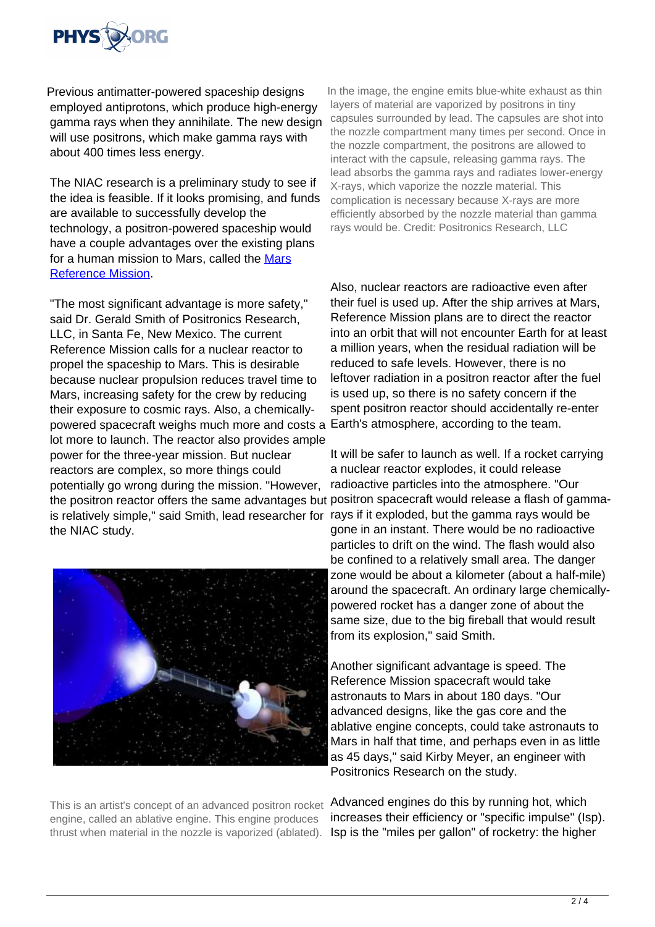

Previous antimatter-powered spaceship designs employed antiprotons, which produce high-energy gamma rays when they annihilate. The new design will use positrons, which make gamma rays with about 400 times less energy.

The NIAC research is a preliminary study to see if the idea is feasible. If it looks promising, and funds are available to successfully develop the technology, a positron-powered spaceship would have a couple advantages over the existing plans for a human mission to [Mars](http://exploration.jsc.nasa.gov/marsref/contents.html), called the Mars [Reference Mission](http://exploration.jsc.nasa.gov/marsref/contents.html).

"The most significant advantage is more safety," said Dr. Gerald Smith of Positronics Research, LLC, in Santa Fe, New Mexico. The current Reference Mission calls for a nuclear reactor to propel the spaceship to Mars. This is desirable because nuclear propulsion reduces travel time to Mars, increasing safety for the crew by reducing their exposure to cosmic rays. Also, a chemicallypowered spacecraft weighs much more and costs a Earth's atmosphere, according to the team. lot more to launch. The reactor also provides ample power for the three-year mission. But nuclear reactors are complex, so more things could potentially go wrong during the mission. "However, is relatively simple," said Smith, lead researcher for rays if it exploded, but the gamma rays would be the NIAC study.



This is an artist's concept of an advanced positron rocket engine, called an ablative engine. This engine produces thrust when material in the nozzle is vaporized (ablated).

In the image, the engine emits blue-white exhaust as thin layers of material are vaporized by positrons in tiny capsules surrounded by lead. The capsules are shot into the nozzle compartment many times per second. Once in the nozzle compartment, the positrons are allowed to interact with the capsule, releasing gamma rays. The lead absorbs the gamma rays and radiates lower-energy X-rays, which vaporize the nozzle material. This complication is necessary because X-rays are more efficiently absorbed by the nozzle material than gamma rays would be. Credit: Positronics Research, LLC

Also, nuclear reactors are radioactive even after their fuel is used up. After the ship arrives at Mars, Reference Mission plans are to direct the reactor into an orbit that will not encounter Earth for at least a million years, when the residual radiation will be reduced to safe levels. However, there is no leftover radiation in a positron reactor after the fuel is used up, so there is no safety concern if the spent positron reactor should accidentally re-enter

the positron reactor offers the same advantages but positron spacecraft would release a flash of gamma-It will be safer to launch as well. If a rocket carrying a nuclear reactor explodes, it could release radioactive particles into the atmosphere. "Our gone in an instant. There would be no radioactive particles to drift on the wind. The flash would also be confined to a relatively small area. The danger zone would be about a kilometer (about a half-mile) around the spacecraft. An ordinary large chemicallypowered rocket has a danger zone of about the same size, due to the big fireball that would result from its explosion," said Smith.

> Another significant advantage is speed. The Reference Mission spacecraft would take astronauts to Mars in about 180 days. "Our advanced designs, like the gas core and the ablative engine concepts, could take astronauts to Mars in half that time, and perhaps even in as little as 45 days," said Kirby Meyer, an engineer with Positronics Research on the study.

Advanced engines do this by running hot, which increases their efficiency or "specific impulse" (Isp). Isp is the "miles per gallon" of rocketry: the higher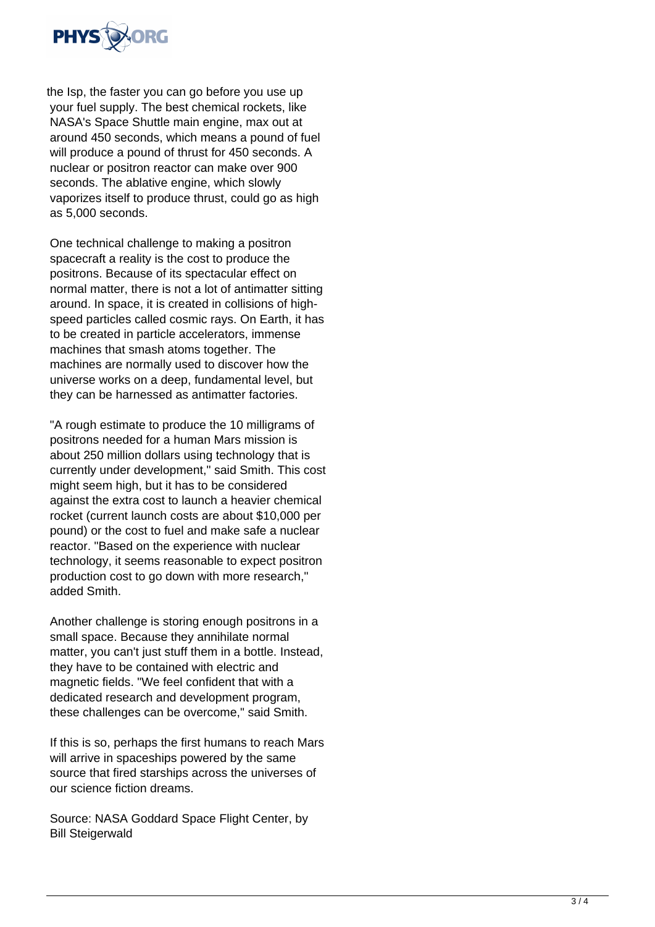

the Isp, the faster you can go before you use up your fuel supply. The best chemical rockets, like NASA's Space Shuttle main engine, max out at around 450 seconds, which means a pound of fuel will produce a pound of thrust for 450 seconds. A nuclear or positron reactor can make over 900 seconds. The ablative engine, which slowly vaporizes itself to produce thrust, could go as high as 5,000 seconds.

One technical challenge to making a positron spacecraft a reality is the cost to produce the positrons. Because of its spectacular effect on normal matter, there is not a lot of antimatter sitting around. In space, it is created in collisions of highspeed particles called cosmic rays. On Earth, it has to be created in particle accelerators, immense machines that smash atoms together. The machines are normally used to discover how the universe works on a deep, fundamental level, but they can be harnessed as antimatter factories.

"A rough estimate to produce the 10 milligrams of positrons needed for a human Mars mission is about 250 million dollars using technology that is currently under development," said Smith. This cost might seem high, but it has to be considered against the extra cost to launch a heavier chemical rocket (current launch costs are about \$10,000 per pound) or the cost to fuel and make safe a nuclear reactor. "Based on the experience with nuclear technology, it seems reasonable to expect positron production cost to go down with more research," added Smith.

Another challenge is storing enough positrons in a small space. Because they annihilate normal matter, you can't just stuff them in a bottle. Instead, they have to be contained with electric and magnetic fields. "We feel confident that with a dedicated research and development program, these challenges can be overcome," said Smith.

If this is so, perhaps the first humans to reach Mars will arrive in spaceships powered by the same source that fired starships across the universes of our science fiction dreams.

Source: NASA Goddard Space Flight Center, by Bill Steigerwald